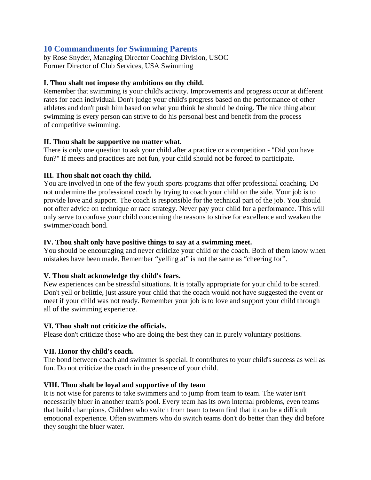# **10 Commandments for Swimming Parents**

by Rose Snyder, Managing Director Coaching Division, USOC Former Director of Club Services, USA Swimming

## **I. Thou shalt not impose thy ambitions on thy child.**

Remember that swimming is your child's activity. Improvements and progress occur at different rates for each individual. Don't judge your child's progress based on the performance of other athletes and don't push him based on what you think he should be doing. The nice thing about swimming is every person can strive to do his personal best and benefit from the process of competitive swimming.

### **II. Thou shalt be supportive no matter what.**

There is only one question to ask your child after a practice or a competition - "Did you have fun?" If meets and practices are not fun, your child should not be forced to participate.

### **III. Thou shalt not coach thy child.**

You are involved in one of the few youth sports programs that offer professional coaching. Do not undermine the professional coach by trying to coach your child on the side. Your job is to provide love and support. The coach is responsible for the technical part of the job. You should not offer advice on technique or race strategy. Never pay your child for a performance. This will only serve to confuse your child concerning the reasons to strive for excellence and weaken the swimmer/coach bond.

### **IV. Thou shalt only have positive things to say at a swimming meet.**

You should be encouraging and never criticize your child or the coach. Both of them know when mistakes have been made. Remember "yelling at" is not the same as "cheering for".

# **V. Thou shalt acknowledge thy child's fears.**

New experiences can be stressful situations. It is totally appropriate for your child to be scared. Don't yell or belittle, just assure your child that the coach would not have suggested the event or meet if your child was not ready. Remember your job is to love and support your child through all of the swimming experience.

#### **VI. Thou shalt not criticize the officials.**

Please don't criticize those who are doing the best they can in purely voluntary positions.

# **VII. Honor thy child's coach.**

The bond between coach and swimmer is special. It contributes to your child's success as well as fun. Do not criticize the coach in the presence of your child.

# **VIII. Thou shalt be loyal and supportive of thy team**

It is not wise for parents to take swimmers and to jump from team to team. The water isn't necessarily bluer in another team's pool. Every team has its own internal problems, even teams that build champions. Children who switch from team to team find that it can be a difficult emotional experience. Often swimmers who do switch teams don't do better than they did before they sought the bluer water.